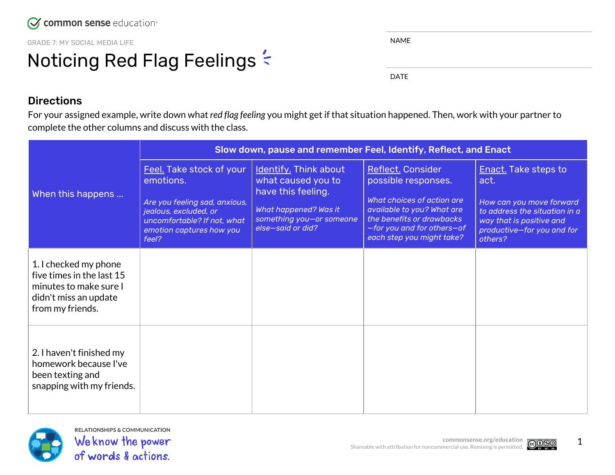GRADE 7: MY SOCIAL MEDIA LIFE

## Noticing Red Flag Feelings  $\leq$

|  | u<br>н. |  |
|--|---------|--|
|  |         |  |

DATE

## **Directions**

For your assigned example, write down what *red flag feeling* you might get if that situation happened. Then, work with your partner to complete the other columns and discuss with the class.

| When this happens                                                                                                         | Slow down, pause and remember Feel, Identify, Reflect, and Enact                                                                                                    |                                                                                                                                             |                                                                                                                                                                                              |                                                                                                                                                                       |  |  |
|---------------------------------------------------------------------------------------------------------------------------|---------------------------------------------------------------------------------------------------------------------------------------------------------------------|---------------------------------------------------------------------------------------------------------------------------------------------|----------------------------------------------------------------------------------------------------------------------------------------------------------------------------------------------|-----------------------------------------------------------------------------------------------------------------------------------------------------------------------|--|--|
|                                                                                                                           | Feel. Take stock of your<br>emotions.<br>Are you feeling sad, anxious,<br>jealous, excluded, or<br>uncomfortable? If not, what<br>emotion captures how you<br>feel? | Identify. Think about<br>what caused you to<br>have this feeling.<br>What happened? Was it<br>something you-or someone<br>else-said or did? | Reflect. Consider<br>possible responses.<br>What choices of action are<br>available to you? What are<br>the benefits or drawbacks<br>-for you and for others-of<br>each step you might take? | <b>Enact.</b> Take steps to<br>act.<br>How can you move forward<br>to address the situation in a<br>way that is positive and<br>productive-for you and for<br>others? |  |  |
| 1. I checked my phone<br>five times in the last 15<br>minutes to make sure I<br>didn't miss an update<br>from my friends. |                                                                                                                                                                     |                                                                                                                                             |                                                                                                                                                                                              |                                                                                                                                                                       |  |  |
| 2. I haven't finished my<br>homework because I've<br>been texting and<br>snapping with my friends.                        |                                                                                                                                                                     |                                                                                                                                             |                                                                                                                                                                                              |                                                                                                                                                                       |  |  |



**RELATIONSHIPS & COMMUNICATION** We know the power of words & actions.



1